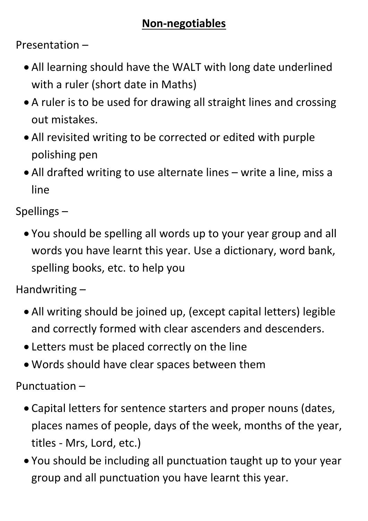## **Non-negotiables**

Presentation –

- All learning should have the WALT with long date underlined with a ruler (short date in Maths)
- A ruler is to be used for drawing all straight lines and crossing out mistakes.
- All revisited writing to be corrected or edited with purple polishing pen
- All drafted writing to use alternate lines write a line, miss a line

Spellings –

 You should be spelling all words up to your year group and all words you have learnt this year. Use a dictionary, word bank, spelling books, etc. to help you

Handwriting –

- All writing should be joined up, (except capital letters) legible and correctly formed with clear ascenders and descenders.
- Letters must be placed correctly on the line
- Words should have clear spaces between them

Punctuation –

- Capital letters for sentence starters and proper nouns (dates,
	- places names of people, days of the week, months of the year,
	- titles Mrs, Lord, etc.)
- You should be including all punctuation taught up to your year group and all punctuation you have learnt this year.